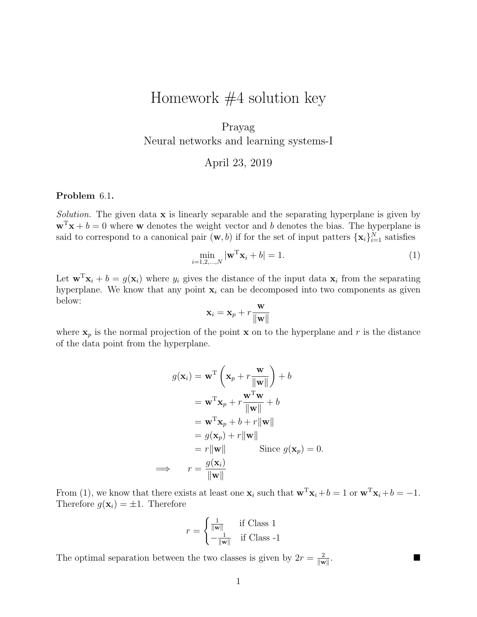# Homework  $#4$  solution key

## Prayag Neural networks and learning systems-I

April 23, 2019

#### Problem 6.1.

Solution. The given data  $x$  is linearly separable and the separating hyperplane is given by  $\mathbf{w}^T\mathbf{x} + b = 0$  where **w** denotes the weight vector and b denotes the bias. The hyperplane is said to correspond to a canonical pair  $(\mathbf{w}, b)$  if for the set of input patters  $\{\mathbf{x}_i\}_{i=1}^N$  satisfies

$$
\min_{i=1,2,\ldots,N} |\mathbf{w}^{\mathrm{T}}\mathbf{x}_i + b| = 1.
$$
 (1)

.

Let  $\mathbf{w}^T \mathbf{x}_i + b = g(\mathbf{x}_i)$  where  $y_i$  gives the distance of the input data  $\mathbf{x}_i$  from the separating hyperplane. We know that any point  $x_i$  can be decomposed into two components as given below:

$$
\mathbf{x}_i = \mathbf{x}_p + r \frac{\mathbf{w}}{\|\mathbf{w}\|}
$$

where  $x_p$  is the normal projection of the point x on to the hyperplane and r is the distance of the data point from the hyperplane.

$$
g(\mathbf{x}_i) = \mathbf{w}^{\mathrm{T}} \left( \mathbf{x}_p + r \frac{\mathbf{w}}{\|\mathbf{w}\|} \right) + b
$$
  
\n
$$
= \mathbf{w}^{\mathrm{T}} \mathbf{x}_p + r \frac{\mathbf{w}^{\mathrm{T}} \mathbf{w}}{\|\mathbf{w}\|} + b
$$
  
\n
$$
= \mathbf{w}^{\mathrm{T}} \mathbf{x}_p + b + r \|\mathbf{w}\|
$$
  
\n
$$
= g(\mathbf{x}_p) + r \|\mathbf{w}\|
$$
  
\n
$$
= r \|\mathbf{w}\| \qquad \text{Since } g(\mathbf{x}_p) = 0.
$$
  
\n
$$
\implies r = \frac{g(\mathbf{x}_i)}{\|\mathbf{w}\|}
$$

From (1), we know that there exists at least one  $\mathbf{x}_i$  such that  $\mathbf{w}^T \mathbf{x}_i + b = 1$  or  $\mathbf{w}^T \mathbf{x}_i + b = -1$ . Therefore  $g(\mathbf{x}_i) = \pm 1$ . Therefore

$$
r = \begin{cases} \frac{1}{\|\mathbf{w}\|} & \text{if Class 1} \\ -\frac{1}{\|\mathbf{w}\|} & \text{if Class -1} \end{cases}
$$

The optimal separation between the two classes is given by  $2r = \frac{2}{\ln r}$  $\|\mathbf{w}\|$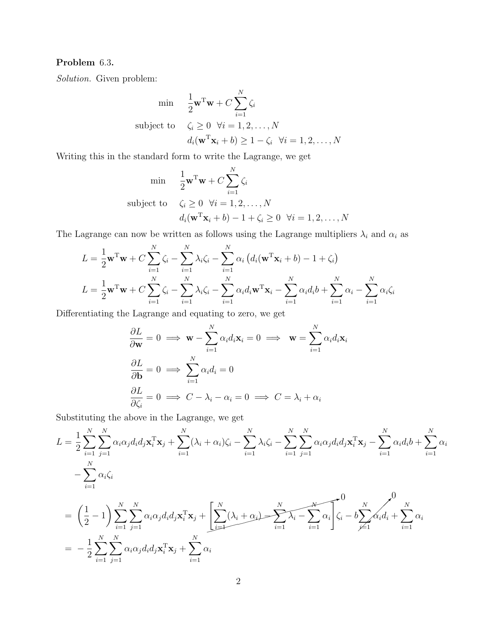### Problem 6.3.

Solution. Given problem:

$$
\begin{aligned}\n\min & \quad \frac{1}{2} \mathbf{w}^{\mathrm{T}} \mathbf{w} + C \sum_{i=1}^{N} \zeta_{i} \\
\text{subject to} & \quad \zeta_{i} \ge 0 \quad \forall i = 1, 2, \dots, N \\
& d_{i}(\mathbf{w}^{\mathrm{T}} \mathbf{x}_{i} + b) \ge 1 - \zeta_{i} \quad \forall i = 1, 2, \dots, N\n\end{aligned}
$$

Writing this in the standard form to write the Lagrange, we get

$$
\begin{aligned}\n\min & \quad \frac{1}{2} \mathbf{w}^{\mathrm{T}} \mathbf{w} + C \sum_{i=1}^{N} \zeta_i \\
\text{subject to} & \quad \zeta_i \ge 0 \quad \forall i = 1, 2, \dots, N \\
& d_i(\mathbf{w}^{\mathrm{T}} \mathbf{x}_i + b) - 1 + \zeta_i \ge 0 \quad \forall i = 1, 2, \dots, N\n\end{aligned}
$$

The Lagrange can now be written as follows using the Lagrange multipliers  $\lambda_i$  and  $\alpha_i$  as

$$
L = \frac{1}{2}\mathbf{w}^{\mathrm{T}}\mathbf{w} + C\sum_{i=1}^{N} \zeta_i - \sum_{i=1}^{N} \lambda_i \zeta_i - \sum_{i=1}^{N} \alpha_i (d_i(\mathbf{w}^{\mathrm{T}}\mathbf{x}_i + b) - 1 + \zeta_i)
$$
  

$$
L = \frac{1}{2}\mathbf{w}^{\mathrm{T}}\mathbf{w} + C\sum_{i=1}^{N} \zeta_i - \sum_{i=1}^{N} \lambda_i \zeta_i - \sum_{i=1}^{N} \alpha_i d_i \mathbf{w}^{\mathrm{T}}\mathbf{x}_i - \sum_{i=1}^{N} \alpha_i d_i b + \sum_{i=1}^{N} \alpha_i - \sum_{i=1}^{N} \alpha_i \zeta_i
$$

Differentiating the Lagrange and equating to zero, we get

$$
\frac{\partial L}{\partial \mathbf{w}} = 0 \implies \mathbf{w} - \sum_{i=1}^{N} \alpha_i d_i \mathbf{x}_i = 0 \implies \mathbf{w} = \sum_{i=1}^{N} \alpha_i d_i \mathbf{x}_i
$$

$$
\frac{\partial L}{\partial \mathbf{b}} = 0 \implies \sum_{i=1}^{N} \alpha_i d_i = 0
$$

$$
\frac{\partial L}{\partial \zeta_i} = 0 \implies C - \lambda_i - \alpha_i = 0 \implies C = \lambda_i + \alpha_i
$$

Substituting the above in the Lagrange, we get

$$
L = \frac{1}{2} \sum_{i=1}^{N} \sum_{j=1}^{N} \alpha_i \alpha_j d_i d_j \mathbf{x}_i^{\mathrm{T}} \mathbf{x}_j + \sum_{i=1}^{N} (\lambda_i + \alpha_i) \zeta_i - \sum_{i=1}^{N} \sum_{j=1}^{N} \alpha_i \alpha_j d_i d_j \mathbf{x}_i^{\mathrm{T}} \mathbf{x}_j - \sum_{i=1}^{N} \alpha_i d_i b + \sum_{i=1}^{N} \alpha_i
$$
  

$$
- \sum_{i=1}^{N} \alpha_i \zeta_i
$$
  

$$
= \left(\frac{1}{2} - 1\right) \sum_{i=1}^{N} \sum_{j=1}^{N} \alpha_i \alpha_j d_i d_j \mathbf{x}_i^{\mathrm{T}} \mathbf{x}_j + \left[\sum_{i=1}^{N} (\lambda_i + \alpha_i) - \sum_{i=1}^{N} \lambda_i - \sum_{i=1}^{N} \alpha_i \right] \zeta_i - b \sum_{j=1}^{N} \alpha_i d_i + \sum_{i=1}^{N} \alpha_i
$$
  

$$
= -\frac{1}{2} \sum_{i=1}^{N} \sum_{j=1}^{N} \alpha_i \alpha_j d_i d_j \mathbf{x}_i^{\mathrm{T}} \mathbf{x}_j + \sum_{i=1}^{N} \alpha_i
$$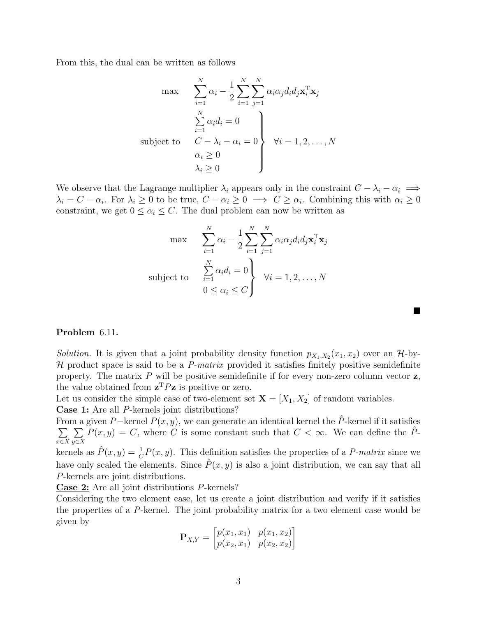From this, the dual can be written as follows

$$
\max \quad \sum_{i=1}^{N} \alpha_i - \frac{1}{2} \sum_{i=1}^{N} \sum_{j=1}^{N} \alpha_i \alpha_j d_i d_j \mathbf{x}_i^{\mathrm{T}} \mathbf{x}_j
$$
\n
$$
\sum_{i=1}^{N} \alpha_i d_i = 0
$$
\nsubject to\n
$$
C - \lambda_i - \alpha_i = 0
$$
\n
$$
\alpha_i \ge 0
$$
\n
$$
\lambda_i \ge 0
$$
\n
$$
\begin{aligned}\n\forall i = 1, 2, \dots, N \\
\end{aligned}
$$

We observe that the Lagrange multiplier  $\lambda_i$  appears only in the constraint  $C - \lambda_i - \alpha_i \implies$  $\lambda_i = C - \alpha_i$ . For  $\lambda_i \geq 0$  to be true,  $C - \alpha_i \geq 0 \implies C \geq \alpha_i$ . Combining this with  $\alpha_i \geq 0$ constraint, we get  $0 \leq \alpha_i \leq C$ . The dual problem can now be written as

$$
\max \qquad \sum_{i=1}^{N} \alpha_i - \frac{1}{2} \sum_{i=1}^{N} \sum_{j=1}^{N} \alpha_i \alpha_j d_i d_j \mathbf{x}_i^{\mathrm{T}} \mathbf{x}_j
$$
\n
$$
\text{subject to} \qquad \sum_{i=1}^{N} \alpha_i d_i = 0 \qquad \forall i = 1, 2, \dots, N
$$
\n
$$
0 \le \alpha_i \le C
$$

 $\blacksquare$ 

#### Problem 6.11.

Solution. It is given that a joint probability density function  $p_{X_1,X_2}(x_1,x_2)$  over an  $\mathcal{H}$ -by- $H$  product space is said to be a  $P$ -matrix provided it satisfies finitely positive semidefinite property. The matrix  $P$  will be positive semidefinite if for every non-zero column vector  $z$ , the value obtained from  $\mathbf{z}^T P \mathbf{z}$  is positive or zero.

Let us consider the simple case of two-element set  $X = [X_1, X_2]$  of random variables. Case 1: Are all P-kernels joint distributions?

From a given P–kernel  $P(x, y)$ , we can generate an identical kernel the  $\hat{P}$ -kernel if it satisfies  $\sum$ x∈X  $\sum$  $y \in X$  $P(x, y) = C$ , where C is some constant such that  $C < \infty$ . We can define the  $\hat{P}$ -

kernels as  $\hat{P}(x, y) = \frac{1}{C}P(x, y)$ . This definition satisfies the properties of a *P-matrix* since we have only scaled the elements. Since  $\hat{P}(x, y)$  is also a joint distribution, we can say that all P-kernels are joint distributions.

Case 2: Are all joint distributions P-kernels?

Considering the two element case, let us create a joint distribution and verify if it satisfies the properties of a P-kernel. The joint probability matrix for a two element case would be given by

$$
\mathbf{P}_{X,Y} = \begin{bmatrix} p(x_1, x_1) & p(x_1, x_2) \\ p(x_2, x_1) & p(x_2, x_2) \end{bmatrix}
$$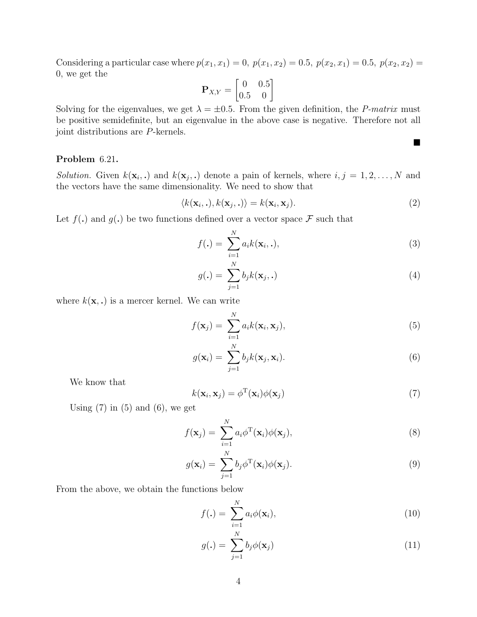Considering a particular case where  $p(x_1, x_1) = 0$ ,  $p(x_1, x_2) = 0.5$ ,  $p(x_2, x_1) = 0.5$ ,  $p(x_2, x_2) = 0.5$ 0, we get the

$$
\mathbf{P}_{X,Y} = \begin{bmatrix} 0 & 0.5 \\ 0.5 & 0 \end{bmatrix}
$$

Solving for the eigenvalues, we get  $\lambda = \pm 0.5$ . From the given definition, the P-matrix must be positive semidefinite, but an eigenvalue in the above case is negative. Therefore not all joint distributions are P-kernels.

#### Problem 6.21.

Solution. Given  $k(\mathbf{x}_i,.)$  and  $k(\mathbf{x}_j,.)$  denote a pain of kernels, where  $i, j = 1, 2, ..., N$  and the vectors have the same dimensionality. We need to show that

$$
\langle k(\mathbf{x}_i, \cdot), k(\mathbf{x}_j, \cdot) \rangle = k(\mathbf{x}_i, \mathbf{x}_j). \tag{2}
$$

Let  $f(.)$  and  $g(.)$  be two functions defined over a vector space F such that

$$
f(\mathbf{.}) = \sum_{i=1}^{N} a_i k(\mathbf{x}_i, \mathbf{.}),
$$
\n(3)

$$
g(\mathbf{.}) = \sum_{j=1}^{N} b_j k(\mathbf{x}_j, \mathbf{.})
$$
\n<sup>(4)</sup>

where  $k(\mathbf{x},.)$  is a mercer kernel. We can write

$$
f(\mathbf{x}_j) = \sum_{i=1}^N a_i k(\mathbf{x}_i, \mathbf{x}_j),
$$
\n(5)

$$
g(\mathbf{x}_i) = \sum_{j=1}^N b_j k(\mathbf{x}_j, \mathbf{x}_i).
$$
 (6)

We know that

$$
k(\mathbf{x}_i, \mathbf{x}_j) = \phi^{\mathrm{T}}(\mathbf{x}_i) \phi(\mathbf{x}_j)
$$
\n(7)

Using  $(7)$  in  $(5)$  and  $(6)$ , we get

$$
f(\mathbf{x}_j) = \sum_{i=1}^N a_i \phi^{\mathrm{T}}(\mathbf{x}_i) \phi(\mathbf{x}_j),
$$
\n(8)

$$
g(\mathbf{x}_i) = \sum_{j=1}^{N} b_j \phi^{T}(\mathbf{x}_i) \phi(\mathbf{x}_j).
$$
\n(9)

From the above, we obtain the functions below

$$
f(.) = \sum_{i=1}^{N} a_i \phi(\mathbf{x}_i), \qquad (10)
$$

$$
g(\mathbf{.}) = \sum_{j=1}^{N} b_j \phi(\mathbf{x}_j)
$$
 (11)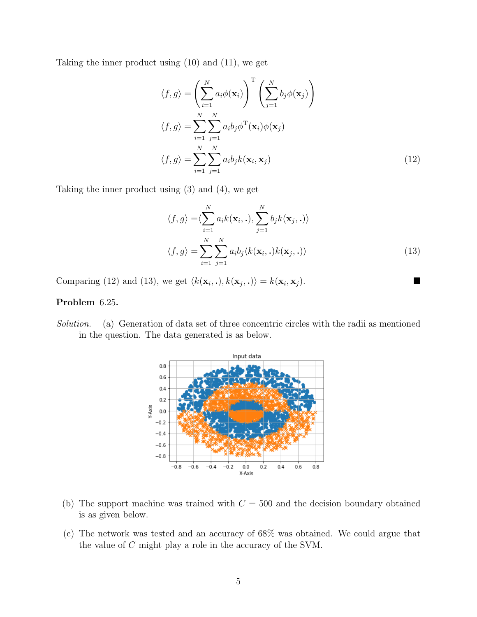Taking the inner product using (10) and (11), we get

$$
\langle f, g \rangle = \left( \sum_{i=1}^{N} a_i \phi(\mathbf{x}_i) \right)^{\mathrm{T}} \left( \sum_{j=1}^{N} b_j \phi(\mathbf{x}_j) \right)
$$
  

$$
\langle f, g \rangle = \sum_{i=1}^{N} \sum_{j=1}^{N} a_i b_j \phi^{\mathrm{T}}(\mathbf{x}_i) \phi(\mathbf{x}_j)
$$
  

$$
\langle f, g \rangle = \sum_{i=1}^{N} \sum_{j=1}^{N} a_i b_j k(\mathbf{x}_i, \mathbf{x}_j)
$$
(12)

Taking the inner product using (3) and (4), we get

$$
\langle f, g \rangle = \langle \sum_{i=1}^{N} a_i k(\mathbf{x}_i, \cdot), \sum_{j=1}^{N} b_j k(\mathbf{x}_j, \cdot) \rangle
$$

$$
\langle f, g \rangle = \sum_{i=1}^{N} \sum_{j=1}^{N} a_i b_j \langle k(\mathbf{x}_i, \cdot) k(\mathbf{x}_j, \cdot) \rangle
$$
(13)

Comparing (12) and (13), we get  $\langle k(\mathbf{x}_i, \cdot), k(\mathbf{x}_j, \cdot) \rangle = k(\mathbf{x}_i, \mathbf{x}_j).$ 

#### Problem 6.25.

Solution. (a) Generation of data set of three concentric circles with the radii as mentioned in the question. The data generated is as below.



- (b) The support machine was trained with  $C = 500$  and the decision boundary obtained is as given below.
- (c) The network was tested and an accuracy of 68% was obtained. We could argue that the value of C might play a role in the accuracy of the SVM.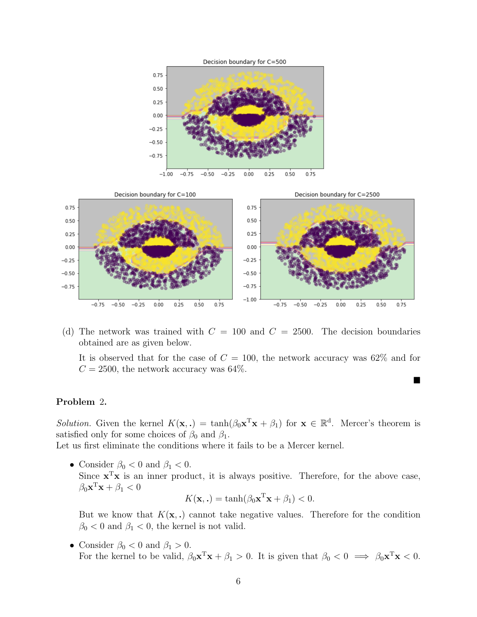



(d) The network was trained with  $C = 100$  and  $C = 2500$ . The decision boundaries obtained are as given below.

It is observed that for the case of  $C = 100$ , the network accuracy was 62\% and for  $C = 2500$ , the network accuracy was 64%.

 $\blacksquare$ 

#### Problem 2.

*Solution*. Given the kernel  $K(\mathbf{x},.) = \tanh(\beta_0 \mathbf{x}^T \mathbf{x} + \beta_1)$  for  $\mathbf{x} \in \mathbb{R}^d$ . Mercer's theorem is satisfied only for some choices of  $\beta_0$  and  $\beta_1$ .

Let us first eliminate the conditions where it fails to be a Mercer kernel.

• Consider  $\beta_0 < 0$  and  $\beta_1 < 0$ . Since  $\mathbf{x}^T\mathbf{x}$  is an inner product, it is always positive. Therefore, for the above case,  $\beta_0 \mathbf{x}^{\mathrm{T}} \mathbf{x} + \beta_1 < 0$ 

$$
K(\mathbf{x},.) = \tanh(\beta_0 \mathbf{x}^T \mathbf{x} + \beta_1) < 0.
$$

But we know that  $K(\mathbf{x},.)$  cannot take negative values. Therefore for the condition  $\beta_0 < 0$  and  $\beta_1 < 0$ , the kernel is not valid.

• Consider  $\beta_0 < 0$  and  $\beta_1 > 0$ . For the kernel to be valid,  $\beta_0 \mathbf{x}^T \mathbf{x} + \beta_1 > 0$ . It is given that  $\beta_0 < 0 \implies \beta_0 \mathbf{x}^T \mathbf{x} < 0$ .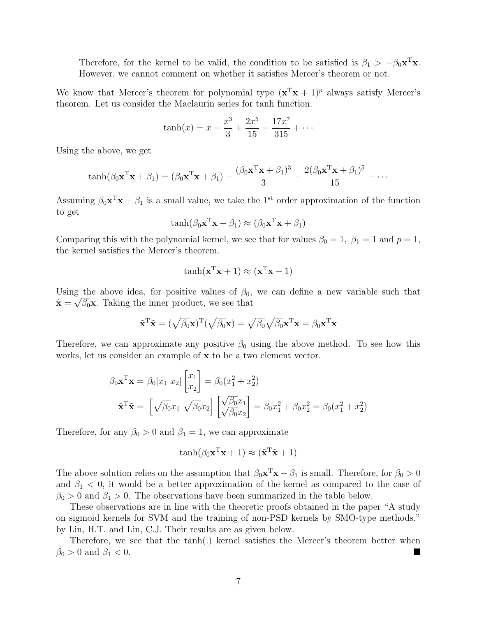Therefore, for the kernel to be valid, the condition to be satisfied is  $\beta_1 > -\beta_0 \mathbf{x}^T \mathbf{x}$ . However, we cannot comment on whether it satisfies Mercer's theorem or not.

We know that Mercer's theorem for polynomial type  $(x^Tx + 1)^p$  always satisfy Mercer's theorem. Let us consider the Maclaurin series for tanh function.

$$
\tanh(x) = x - \frac{x^3}{3} + \frac{2x^5}{15} - \frac{17x^7}{315} + \cdots
$$

Using the above, we get

$$
\tanh(\beta_0 \mathbf{x}^T \mathbf{x} + \beta_1) = (\beta_0 \mathbf{x}^T \mathbf{x} + \beta_1) - \frac{(\beta_0 \mathbf{x}^T \mathbf{x} + \beta_1)^3}{3} + \frac{2(\beta_0 \mathbf{x}^T \mathbf{x} + \beta_1)^5}{15} - \cdots
$$

Assuming  $\beta_0 \mathbf{x}^T \mathbf{x} + \beta_1$  is a small value, we take the 1<sup>st</sup> order approximation of the function to get

$$
\tanh(\beta_0 \mathbf{x}^T \mathbf{x} + \beta_1) \approx (\beta_0 \mathbf{x}^T \mathbf{x} + \beta_1)
$$

Comparing this with the polynomial kernel, we see that for values  $\beta_0 = 1$ ,  $\beta_1 = 1$  and  $p = 1$ , the kernel satisfies the Mercer's theorem.

$$
\tanh(\mathbf{x}^{\mathrm{T}}\mathbf{x} + 1) \approx (\mathbf{x}^{\mathrm{T}}\mathbf{x} + 1)
$$

Using the above idea, for positive values of  $\beta_0$ , we can define a new variable such that  $\tilde{\mathbf{x}} = \sqrt{\beta_0} \mathbf{x}$ . Taking the inner product, we see that

$$
\tilde{\mathbf{x}}^{\mathrm{T}}\tilde{\mathbf{x}} = (\sqrt{\beta_0}\mathbf{x})^{\mathrm{T}}(\sqrt{\beta_0}\mathbf{x}) = \sqrt{\beta_0}\sqrt{\beta_0}\mathbf{x}^{\mathrm{T}}\mathbf{x} = \beta_0\mathbf{x}^{\mathrm{T}}\mathbf{x}
$$

Therefore, we can approximate any positive  $\beta_0$  using the above method. To see how this works, let us consider an example of x to be a two element vector.

$$
\beta_0 \mathbf{x}^T \mathbf{x} = \beta_0 [x_1 \ x_2] \begin{bmatrix} x_1 \\ x_2 \end{bmatrix} = \beta_0 (x_1^2 + x_2^2)
$$

$$
\tilde{\mathbf{x}}^T \tilde{\mathbf{x}} = \begin{bmatrix} \sqrt{\beta_0} x_1 & \sqrt{\beta_0} x_2 \end{bmatrix} \begin{bmatrix} \sqrt{\beta_0} x_1 \\ \sqrt{\beta_0} x_2 \end{bmatrix} = \beta_0 x_1^2 + \beta_0 x_2^2 = \beta_0 (x_1^2 + x_2^2)
$$

Therefore, for any  $\beta_0 > 0$  and  $\beta_1 = 1$ , we can approximate

$$
\tanh(\beta_0 \mathbf{x}^T \mathbf{x} + 1) \approx (\tilde{\mathbf{x}}^T \tilde{\mathbf{x}} + 1)
$$

The above solution relies on the assumption that  $\beta_0 \mathbf{x}^T \mathbf{x} + \beta_1$  is small. Therefore, for  $\beta_0 > 0$ and  $\beta_1$  < 0, it would be a better approximation of the kernel as compared to the case of  $\beta_0 > 0$  and  $\beta_1 > 0$ . The observations have been summarized in the table below.

These observations are in line with the theoretic proofs obtained in the paper "A study on sigmoid kernels for SVM and the training of non-PSD kernels by SMO-type methods." by Lin, H.T. and Lin, C.J. Their results are as given below.

Therefore, we see that the tanh(.) kernel satisfies the Mercer's theorem better when  $\beta_0 > 0$  and  $\beta_1 < 0$ .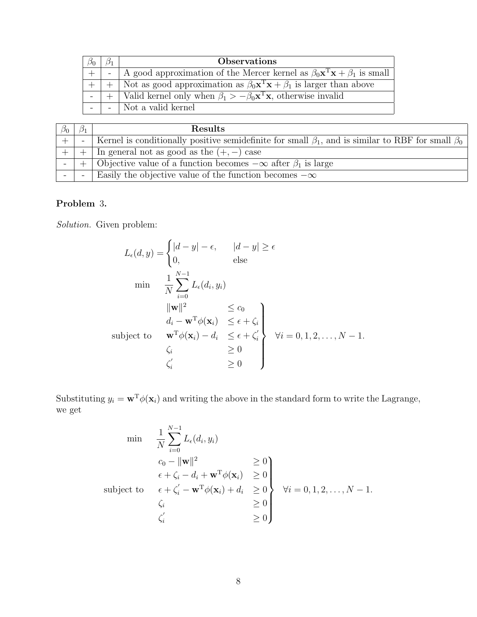|  | <b>Observations</b>                                                                                          |
|--|--------------------------------------------------------------------------------------------------------------|
|  | -   A good approximation of the Mercer kernel as $\beta_0 \mathbf{x}^T \mathbf{x} + \beta_1$ is small        |
|  | $\overline{+}$ Not as good approximation as $\beta_0 \mathbf{x}^T \mathbf{x} + \beta_1$ is larger than above |
|  | $  +  $ Valid kernel only when $\beta_1 > -\beta_0 \mathbf{x}^T \mathbf{x}$ , otherwise invalid              |
|  | $-$ Not a valid kernel                                                                                       |

| $\beta_0$ | $\omega_1$ | <b>Results</b>                                                                                                |
|-----------|------------|---------------------------------------------------------------------------------------------------------------|
|           |            | Kernel is conditionally positive semidefinite for small $\beta_1$ , and is similar to RBF for small $\beta_0$ |
|           |            | $\sqrt{\ln \text{ general}}$ not as good as the $(+,-)$ case                                                  |
|           |            | Objective value of a function becomes $-\infty$ after $\beta_1$ is large                                      |
|           |            | Easily the objective value of the function becomes $-\infty$                                                  |

### Problem 3.

Solution. Given problem:

$$
L_{\epsilon}(d, y) = \begin{cases} |d - y| - \epsilon, & |d - y| \ge \epsilon \\ 0, & \text{else} \end{cases}
$$
  
\n
$$
\min \quad \frac{1}{N} \sum_{i=0}^{N-1} L_{\epsilon}(d_i, y_i)
$$
  
\n
$$
\|w\|^2 \le c_0
$$
  
\n
$$
d_i - w^{\mathrm{T}} \phi(\mathbf{x}_i) \le \epsilon + \zeta_i
$$
  
\nsubject to 
$$
\begin{cases} w^{\mathrm{T}} \phi(\mathbf{x}_i) - d_i & \le \epsilon + \zeta'_i \\ \zeta_i & \ge 0 \\ \zeta'_i & \ge 0 \end{cases} \forall i = 0, 1, 2, ..., N - 1.
$$

Substituting  $y_i = \mathbf{w}^T \phi(\mathbf{x}_i)$  and writing the above in the standard form to write the Lagrange, we get

$$
\min \quad \frac{1}{N} \sum_{i=0}^{N-1} L_{\epsilon}(d_i, y_i)
$$
\n
$$
c_0 - ||\mathbf{w}||^2 \ge 0
$$
\n
$$
\epsilon + \zeta_i - d_i + \mathbf{w}^{\mathrm{T}} \phi(\mathbf{x}_i) \ge 0
$$
\nsubject to\n
$$
\epsilon + \zeta_i' - \mathbf{w}^{\mathrm{T}} \phi(\mathbf{x}_i) + d_i \ge 0
$$
\n
$$
\zeta_i' \ge 0
$$
\n
$$
\zeta_i' \ge 0
$$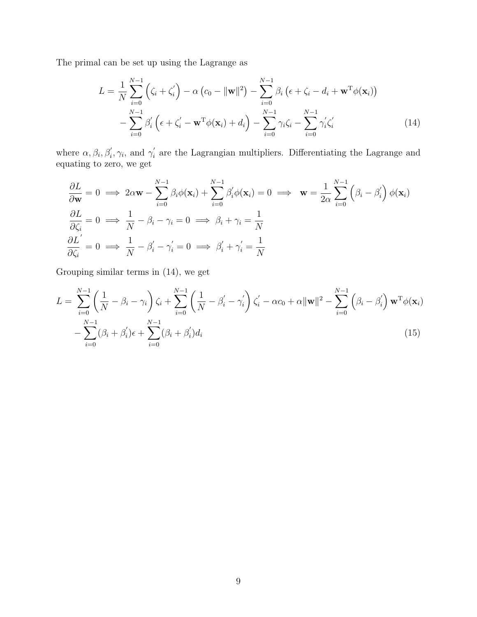The primal can be set up using the Lagrange as

$$
L = \frac{1}{N} \sum_{i=0}^{N-1} (\zeta_i + \zeta_i') - \alpha (c_0 - ||\mathbf{w}||^2) - \sum_{i=0}^{N-1} \beta_i (\epsilon + \zeta_i - d_i + \mathbf{w}^T \phi(\mathbf{x}_i)) - \sum_{i=0}^{N-1} \beta_i' (\epsilon + \zeta_i' - \mathbf{w}^T \phi(\mathbf{x}_i) + d_i) - \sum_{i=0}^{N-1} \gamma_i \zeta_i - \sum_{i=0}^{N-1} \gamma_i' \zeta_i' \qquad (14)
$$

where  $\alpha, \beta_i, \beta'_i, \gamma_i$ , and  $\gamma'_i$  $i<sub>i</sub>$  are the Lagrangian multipliers. Differentiating the Lagrange and equating to zero, we get

$$
\frac{\partial L}{\partial \mathbf{w}} = 0 \implies 2\alpha \mathbf{w} - \sum_{i=0}^{N-1} \beta_i \phi(\mathbf{x}_i) + \sum_{i=0}^{N-1} \beta'_i \phi(\mathbf{x}_i) = 0 \implies \mathbf{w} = \frac{1}{2\alpha} \sum_{i=0}^{N-1} (\beta_i - \beta'_i) \phi(\mathbf{x}_i)
$$
  

$$
\frac{\partial L}{\partial \zeta_i} = 0 \implies \frac{1}{N} - \beta_i - \gamma_i = 0 \implies \beta_i + \gamma_i = \frac{1}{N}
$$
  

$$
\frac{\partial L'}{\partial \zeta_i} = 0 \implies \frac{1}{N} - \beta'_i - \gamma'_i = 0 \implies \beta'_i + \gamma'_i = \frac{1}{N}
$$

Grouping similar terms in (14), we get

$$
L = \sum_{i=0}^{N-1} \left( \frac{1}{N} - \beta_i - \gamma_i \right) \zeta_i + \sum_{i=0}^{N-1} \left( \frac{1}{N} - \beta'_i - \gamma'_i \right) \zeta'_i - \alpha c_0 + \alpha ||\mathbf{w}||^2 - \sum_{i=0}^{N-1} \left( \beta_i - \beta'_i \right) \mathbf{w}^T \phi(\mathbf{x}_i) - \sum_{i=0}^{N-1} (\beta_i + \beta'_i) \epsilon + \sum_{i=0}^{N-1} (\beta_i + \beta'_i) d_i
$$
\n(15)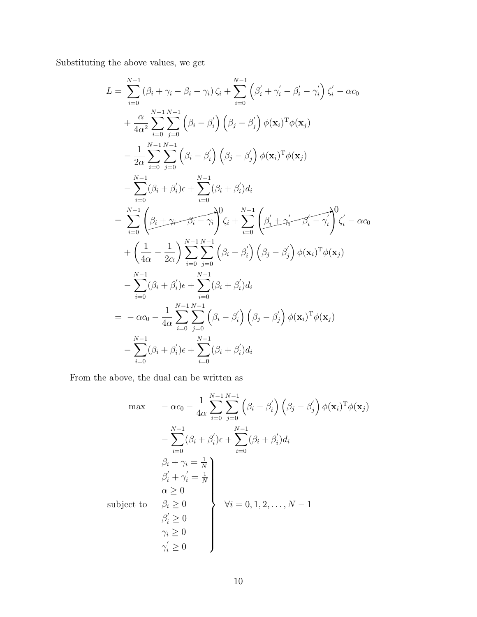Substituting the above values, we get

$$
L = \sum_{i=0}^{N-1} (\beta_i + \gamma_i - \beta_i - \gamma_i) \zeta_i + \sum_{i=0}^{N-1} (\beta'_i + \gamma'_i - \beta'_i - \gamma'_i) \zeta'_i - \alpha c_0 + \frac{\alpha}{4\alpha^2} \sum_{i=0}^{N-1} \sum_{j=0}^{N-1} (\beta_i - \beta'_i) (\beta_j - \beta'_j) \phi(\mathbf{x}_i)^T \phi(\mathbf{x}_j) - \frac{1}{2\alpha} \sum_{i=0}^{N-1} \sum_{j=0}^{N-1} (\beta_i - \beta'_i) (\beta_j - \beta'_j) \phi(\mathbf{x}_i)^T \phi(\mathbf{x}_j) - \sum_{i=0}^{N-1} (\beta_i + \beta'_i) \epsilon + \sum_{i=0}^{N-1} (\beta_i + \beta'_i) d_i = \sum_{i=0}^{N-1} (\beta_i + \gamma_i - \beta_i - \gamma_i)^0 \zeta_i + \sum_{i=0}^{N-1} (\beta'_i + \gamma'_i - \beta'_i - \gamma'_i)^0 \zeta'_i - \alpha c_0 + (\frac{1}{4\alpha} - \frac{1}{2\alpha}) \sum_{i=0}^{N-1} \sum_{j=0}^{N-1} (\beta_i - \beta'_i) (\beta_j - \beta'_j) \phi(\mathbf{x}_i)^T \phi(\mathbf{x}_j) - \sum_{i=0}^{N-1} (\beta_i + \beta'_i) \epsilon + \sum_{i=0}^{N-1} (\beta_i + \beta'_i) d_i = -\alpha c_0 - \frac{1}{4\alpha} \sum_{i=0}^{N-1} \sum_{j=0}^{N-1} (\beta_i - \beta'_i) (\beta_j - \beta'_j) \phi(\mathbf{x}_i)^T \phi(\mathbf{x}_j) - \sum_{i=0}^{N-1} (\beta_i + \beta'_i) \epsilon + \sum_{i=0}^{N-1} (\beta_i + \beta'_i) d_i
$$

From the above, the dual can be written as

$$
\max \quad -\alpha c_0 - \frac{1}{4\alpha} \sum_{i=0}^{N-1} \sum_{j=0}^{N-1} (\beta_i - \beta'_i) (\beta_j - \beta'_j) \phi(\mathbf{x}_i)^T \phi(\mathbf{x}_j)
$$

$$
- \sum_{i=0}^{N-1} (\beta_i + \beta'_i) \epsilon + \sum_{i=0}^{N-1} (\beta_i + \beta'_i) d_i
$$

$$
\beta_i + \gamma_i = \frac{1}{N}
$$

$$
\beta'_i + \gamma'_i = \frac{1}{N}
$$

$$
\alpha \ge 0
$$

$$
\alpha \ge 0
$$

$$
\beta_i \ge 0
$$

$$
\gamma_i \ge 0
$$

$$
\gamma'_i \ge 0
$$